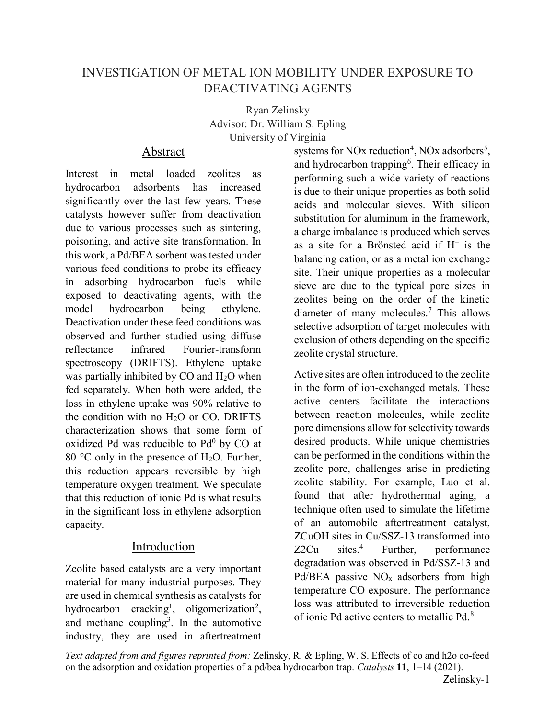# INVESTIGATION OF METAL ION MOBILITY UNDER EXPOSURE TO DEACTIVATING AGENTS

Ryan Zelinsky Advisor: Dr. William S. Epling University of Virginia

## Abstract

Interest in metal loaded zeolites as hydrocarbon adsorbents has increased significantly over the last few years. These catalysts however suffer from deactivation due to various processes such as sintering, poisoning, and active site transformation. In this work, a Pd/BEA sorbent was tested under various feed conditions to probe its efficacy in adsorbing hydrocarbon fuels while exposed to deactivating agents, with the model hydrocarbon being ethylene. Deactivation under these feed conditions was observed and further studied using diffuse reflectance infrared Fourier-transform spectroscopy (DRIFTS). Ethylene uptake was partially inhibited by CO and H<sub>2</sub>O when fed separately. When both were added, the loss in ethylene uptake was 90% relative to the condition with no  $H<sub>2</sub>O$  or CO. DRIFTS characterization shows that some form of oxidized Pd was reducible to  $Pd^0$  by CO at 80  $\degree$ C only in the presence of H<sub>2</sub>O. Further, this reduction appears reversible by high temperature oxygen treatment. We speculate that this reduction of ionic Pd is what results in the significant loss in ethylene adsorption capacity.

# Introduction

Zeolite based catalysts are a very important material for many industrial purposes. They are used in chemical synthesis as catalysts for hydrocarbon cracking<sup>1</sup>, oligomerization<sup>2</sup>, and methane coupling<sup>3</sup>. In the automotive industry, they are used in aftertreatment

systems for NOx reduction<sup>4</sup>, NOx adsorbers<sup>5</sup>, and hydrocarbon trapping<sup>6</sup>. Their efficacy in performing such a wide variety of reactions is due to their unique properties as both solid acids and molecular sieves. With silicon substitution for aluminum in the framework, a charge imbalance is produced which serves as a site for a Brönsted acid if  $H^+$  is the balancing cation, or as a metal ion exchange site. Their unique properties as a molecular sieve are due to the typical pore sizes in zeolites being on the order of the kinetic diameter of many molecules.<sup>7</sup> This allows selective adsorption of target molecules with exclusion of others depending on the specific zeolite crystal structure.

Active sites are often introduced to the zeolite in the form of ion-exchanged metals. These active centers facilitate the interactions between reaction molecules, while zeolite pore dimensions allow for selectivity towards desired products. While unique chemistries can be performed in the conditions within the zeolite pore, challenges arise in predicting zeolite stability. For example, Luo et al. found that after hydrothermal aging, a technique often used to simulate the lifetime of an automobile aftertreatment catalyst, ZCuOH sites in Cu/SSZ-13 transformed into  $Z2Cu$  sites.<sup>4</sup> Further, performance degradation was observed in Pd/SSZ-13 and Pd/BEA passive  $NO<sub>x</sub>$  adsorbers from high temperature CO exposure. The performance loss was attributed to irreversible reduction of ionic Pd active centers to metallic Pd.<sup>8</sup>

Text adapted from and figures reprinted from: Zelinsky, R. & Epling, W. S. Effects of co and h2o co-feed on the adsorption and oxidation properties of a pd/bea hydrocarbon trap. Catalysts 11, 1–14 (2021).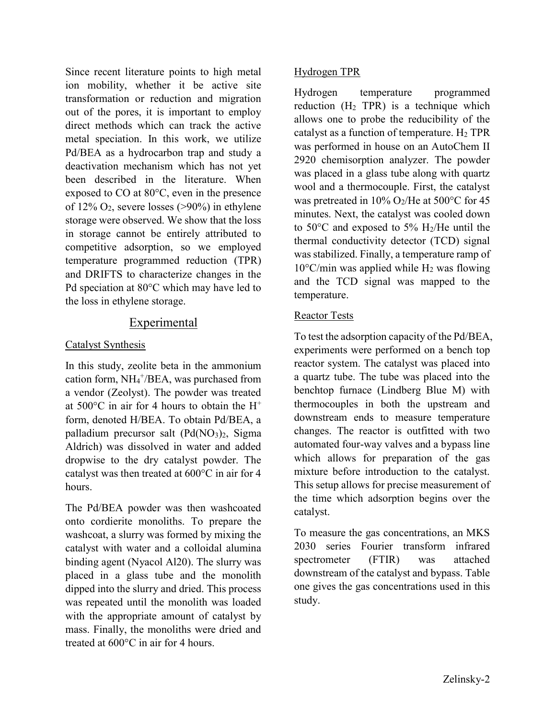Since recent literature points to high metal ion mobility, whether it be active site transformation or reduction and migration out of the pores, it is important to employ direct methods which can track the active metal speciation. In this work, we utilize Pd/BEA as a hydrocarbon trap and study a deactivation mechanism which has not yet been described in the literature. When exposed to CO at 80°C, even in the presence of  $12\%$  O<sub>2</sub>, severe losses (>90%) in ethylene storage were observed. We show that the loss in storage cannot be entirely attributed to competitive adsorption, so we employed temperature programmed reduction (TPR) and DRIFTS to characterize changes in the Pd speciation at 80°C which may have led to the loss in ethylene storage.

# **Experimental**

### Catalyst Synthesis

In this study, zeolite beta in the ammonium cation form, NH<sub>4</sub><sup>+</sup>/BEA, was purchased from a vendor (Zeolyst). The powder was treated at  $500^{\circ}$ C in air for 4 hours to obtain the H<sup>+</sup> form, denoted H/BEA. To obtain Pd/BEA, a palladium precursor salt  $(Pd(NO<sub>3</sub>)<sub>2</sub>$ , Sigma Aldrich) was dissolved in water and added dropwise to the dry catalyst powder. The catalyst was then treated at 600°C in air for 4 hours.

The Pd/BEA powder was then washcoated onto cordierite monoliths. To prepare the washcoat, a slurry was formed by mixing the catalyst with water and a colloidal alumina binding agent (Nyacol Al20). The slurry was placed in a glass tube and the monolith dipped into the slurry and dried. This process was repeated until the monolith was loaded with the appropriate amount of catalyst by mass. Finally, the monoliths were dried and treated at 600°C in air for 4 hours.

### Hydrogen TPR

Hydrogen temperature programmed reduction  $(H_2$  TPR) is a technique which allows one to probe the reducibility of the catalyst as a function of temperature.  $H_2$  TPR was performed in house on an AutoChem II 2920 chemisorption analyzer. The powder was placed in a glass tube along with quartz wool and a thermocouple. First, the catalyst was pretreated in  $10\%$  O<sub>2</sub>/He at  $500^{\circ}$ C for 45 minutes. Next, the catalyst was cooled down to 50 $\degree$ C and exposed to 5% H<sub>2</sub>/He until the thermal conductivity detector (TCD) signal was stabilized. Finally, a temperature ramp of  $10^{\circ}$ C/min was applied while H<sub>2</sub> was flowing and the TCD signal was mapped to the temperature.

## Reactor Tests

To test the adsorption capacity of the Pd/BEA, experiments were performed on a bench top reactor system. The catalyst was placed into a quartz tube. The tube was placed into the benchtop furnace (Lindberg Blue M) with thermocouples in both the upstream and downstream ends to measure temperature changes. The reactor is outfitted with two automated four-way valves and a bypass line which allows for preparation of the gas mixture before introduction to the catalyst. This setup allows for precise measurement of the time which adsorption begins over the catalyst.

To measure the gas concentrations, an MKS 2030 series Fourier transform infrared spectrometer (FTIR) was attached downstream of the catalyst and bypass. Table one gives the gas concentrations used in this study.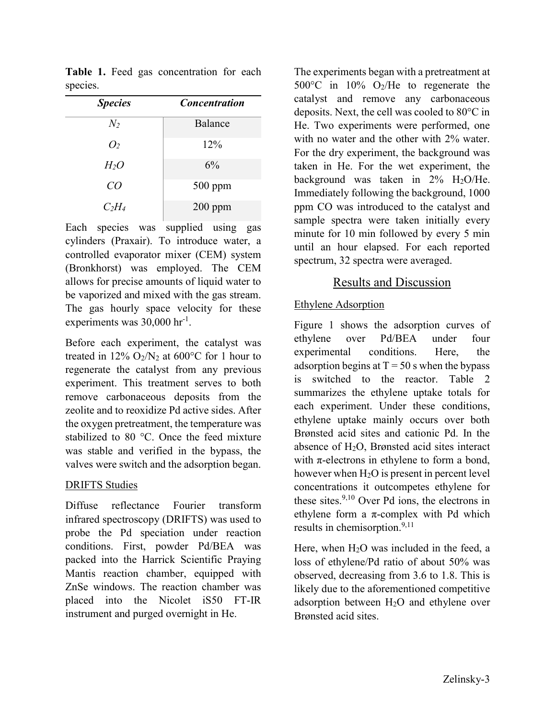| <b>Species</b> | <b>Concentration</b> |  |
|----------------|----------------------|--|
| $N_2$          | Balance              |  |
| O <sub>2</sub> | 12%                  |  |
| $H_2O$         | 6%                   |  |
| CO             | $500$ ppm            |  |
| $C_2H_4$       | $200$ ppm            |  |

Table 1. Feed gas concentration for each species.

Each species was supplied using gas cylinders (Praxair). To introduce water, a controlled evaporator mixer (CEM) system (Bronkhorst) was employed. The CEM allows for precise amounts of liquid water to be vaporized and mixed with the gas stream. The gas hourly space velocity for these experiments was 30,000 hr<sup>-1</sup>.

Before each experiment, the catalyst was treated in  $12\%$  O<sub>2</sub>/N<sub>2</sub> at 600<sup>o</sup>C for 1 hour to regenerate the catalyst from any previous experiment. This treatment serves to both remove carbonaceous deposits from the zeolite and to reoxidize Pd active sides. After the oxygen pretreatment, the temperature was stabilized to 80 °C. Once the feed mixture was stable and verified in the bypass, the valves were switch and the adsorption began.

### DRIFTS Studies

Diffuse reflectance Fourier transform infrared spectroscopy (DRIFTS) was used to probe the Pd speciation under reaction conditions. First, powder Pd/BEA was packed into the Harrick Scientific Praying Mantis reaction chamber, equipped with ZnSe windows. The reaction chamber was placed into the Nicolet iS50 FT-IR instrument and purged overnight in He.

The experiments began with a pretreatment at 500 $^{\circ}$ C in 10% O<sub>2</sub>/He to regenerate the catalyst and remove any carbonaceous deposits. Next, the cell was cooled to 80°C in He. Two experiments were performed, one with no water and the other with 2% water. For the dry experiment, the background was taken in He. For the wet experiment, the background was taken in  $2\%$  H<sub>2</sub>O/He. Immediately following the background, 1000 ppm CO was introduced to the catalyst and sample spectra were taken initially every minute for 10 min followed by every 5 min until an hour elapsed. For each reported spectrum, 32 spectra were averaged.

## Results and Discussion

### Ethylene Adsorption

Figure 1 shows the adsorption curves of ethylene over Pd/BEA under four experimental conditions. Here, the adsorption begins at  $T = 50$  s when the bypass is switched to the reactor. Table 2 summarizes the ethylene uptake totals for each experiment. Under these conditions, ethylene uptake mainly occurs over both Brønsted acid sites and cationic Pd. In the absence of  $H<sub>2</sub>O$ , Brønsted acid sites interact with  $\pi$ -electrons in ethylene to form a bond, however when H2O is present in percent level concentrations it outcompetes ethylene for these sites. $9,10$  Over Pd ions, the electrons in ethylene form a  $\pi$ -complex with Pd which results in chemisorption.<sup>9,11</sup>

Here, when  $H_2O$  was included in the feed, a loss of ethylene/Pd ratio of about 50% was observed, decreasing from 3.6 to 1.8. This is likely due to the aforementioned competitive adsorption between H2O and ethylene over Brønsted acid sites.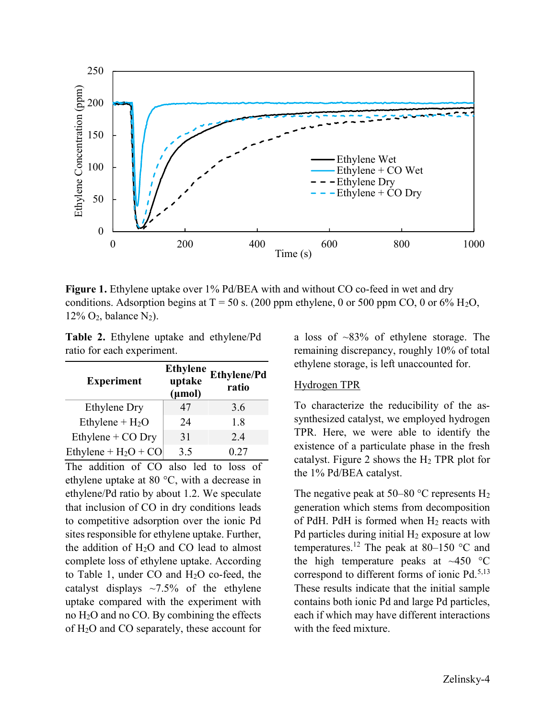

Figure 1. Ethylene uptake over 1% Pd/BEA with and without CO co-feed in wet and dry conditions. Adsorption begins at  $T = 50$  s. (200 ppm ethylene, 0 or 500 ppm CO, 0 or 6% H<sub>2</sub>O,  $12\%$  O<sub>2</sub>, balance N<sub>2</sub>).

Table 2. Ethylene uptake and ethylene/Pd ratio for each experiment.

| <b>Experiment</b>      | <b>Ethylene</b><br>uptake<br>$(\mu mol)$ | <b>Ethylene/Pd</b><br>ratio |
|------------------------|------------------------------------------|-----------------------------|
| Ethylene Dry           | 47                                       | 3.6                         |
| Ethylene + $H_2O$      | 24                                       | 1.8                         |
| Ethylene + $CO$ Dry    | 31                                       | 2.4                         |
| Ethylene + $H_2O$ + CO | 3.5                                      | 0.27                        |

The addition of CO also led to loss of ethylene uptake at 80 °C, with a decrease in ethylene/Pd ratio by about 1.2. We speculate that inclusion of CO in dry conditions leads to competitive adsorption over the ionic Pd sites responsible for ethylene uptake. Further, the addition of  $H_2O$  and CO lead to almost complete loss of ethylene uptake. According to Table 1, under CO and H2O co-feed, the catalyst displays  $\sim$ 7.5% of the ethylene uptake compared with the experiment with no H2O and no CO. By combining the effects of H2O and CO separately, these account for

a loss of ~83% of ethylene storage. The remaining discrepancy, roughly 10% of total ethylene storage, is left unaccounted for.

#### Hydrogen TPR

To characterize the reducibility of the assynthesized catalyst, we employed hydrogen TPR. Here, we were able to identify the existence of a particulate phase in the fresh catalyst. Figure 2 shows the  $H_2$  TPR plot for the 1% Pd/BEA catalyst.

The negative peak at 50–80  $^{\circ}$ C represents H<sub>2</sub> generation which stems from decomposition of PdH. PdH is formed when  $H_2$  reacts with Pd particles during initial  $H_2$  exposure at low temperatures.<sup>12</sup> The peak at 80–150  $\degree$ C and the high temperature peaks at  $\sim$ 450 °C correspond to different forms of ionic  $Pd<sub>1</sub><sup>5,13</sup>$ These results indicate that the initial sample contains both ionic Pd and large Pd particles, each if which may have different interactions with the feed mixture.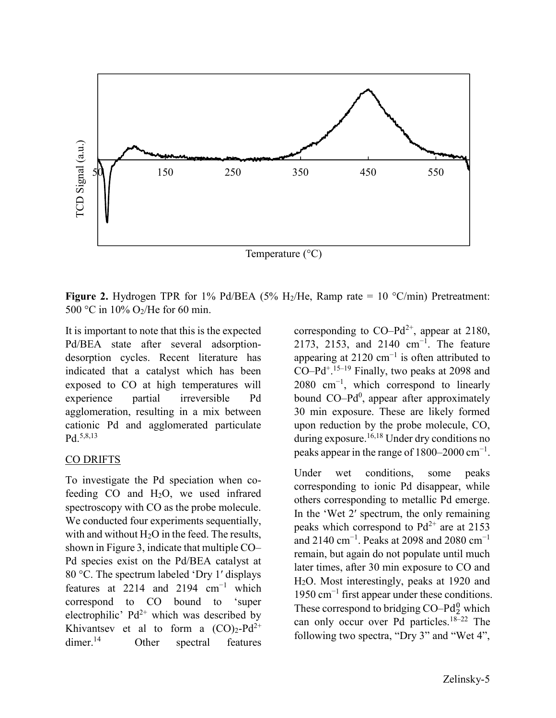

**Figure 2.** Hydrogen TPR for 1% Pd/BEA (5% H<sub>2</sub>/He, Ramp rate = 10 °C/min) Pretreatment: 500 °C in 10% O2/He for 60 min.

It is important to note that this is the expected Pd/BEA state after several adsorptiondesorption cycles. Recent literature has indicated that a catalyst which has been exposed to CO at high temperatures will experience partial irreversible Pd agglomeration, resulting in a mix between cationic Pd and agglomerated particulate Pd.<sup>5,8,13</sup>

### CO DRIFTS

To investigate the Pd speciation when cofeeding CO and H2O, we used infrared spectroscopy with CO as the probe molecule. We conducted four experiments sequentially, with and without  $H_2O$  in the feed. The results, shown in Figure 3, indicate that multiple CO– Pd species exist on the Pd/BEA catalyst at 80 °C. The spectrum labeled 'Dry 1' displays features at 2214 and 2194 cm−1 which correspond to CO bound to 'super electrophilic'  $Pd^{2+}$  which was described by Khivantsev et al to form a  $(CO)_2$ -Pd<sup>2+</sup> dimer.<sup>14</sup> Other spectral features corresponding to  $CO-Pd^{2+}$ , appear at 2180, 2173, 2153, and 2140 cm<sup>-1</sup>. The feature appearing at 2120 cm<sup>-1</sup> is often attributed to  $CO-Pd^{+.15-19}$  Finally, two peaks at 2098 and  $2080 \text{ cm}^{-1}$ , which correspond to linearly bound  $CO-Pd^0$ , appear after approximately 30 min exposure. These are likely formed upon reduction by the probe molecule, CO, during exposure.<sup>16,18</sup> Under dry conditions no peaks appear in the range of  $1800-2000$  cm<sup>-1</sup>.

Under wet conditions, some peaks corresponding to ionic Pd disappear, while others corresponding to metallic Pd emerge. In the 'Wet 2′ spectrum, the only remaining peaks which correspond to  $Pd^{2+}$  are at 2153 and 2140 cm<sup>-1</sup>. Peaks at 2098 and 2080 cm<sup>-1</sup> remain, but again do not populate until much later times, after 30 min exposure to CO and H2O. Most interestingly, peaks at 1920 and 1950 cm−1 first appear under these conditions. These correspond to bridging  $CO-Pd_2^0$  which can only occur over Pd particles.<sup>18–22</sup> The following two spectra, "Dry 3" and "Wet 4",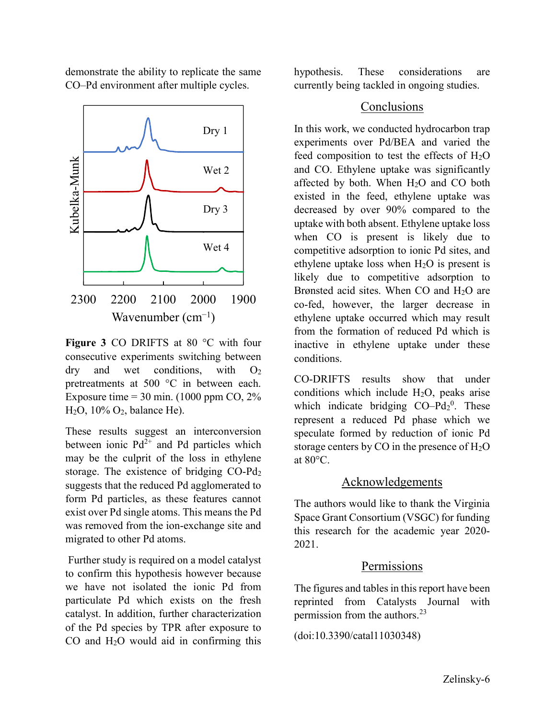demonstrate the ability to replicate the same CO–Pd environment after multiple cycles.



Figure 3 CO DRIFTS at 80 °C with four consecutive experiments switching between  $\frac{dy}{dx}$  and wet conditions, with  $O_2$ pretreatments at 500 °C in between each. Exposure time  $= 30$  min. (1000 ppm CO, 2%)  $H<sub>2</sub>O$ , 10%  $O<sub>2</sub>$ , balance He).

These results suggest an interconversion between ionic  $Pd^{2+}$  and Pd particles which may be the culprit of the loss in ethylene storage. The existence of bridging CO-Pd<sup>2</sup> suggests that the reduced Pd agglomerated to form Pd particles, as these features cannot exist over Pd single atoms. This means the Pd was removed from the ion-exchange site and migrated to other Pd atoms.

 Further study is required on a model catalyst to confirm this hypothesis however because we have not isolated the ionic Pd from particulate Pd which exists on the fresh catalyst. In addition, further characterization of the Pd species by TPR after exposure to CO and H2O would aid in confirming this

hypothesis. These considerations are currently being tackled in ongoing studies.

## Conclusions

In this work, we conducted hydrocarbon trap experiments over Pd/BEA and varied the feed composition to test the effects of  $H_2O$ and CO. Ethylene uptake was significantly affected by both. When  $H_2O$  and  $CO$  both existed in the feed, ethylene uptake was decreased by over 90% compared to the uptake with both absent. Ethylene uptake loss when CO is present is likely due to competitive adsorption to ionic Pd sites, and ethylene uptake loss when  $H_2O$  is present is likely due to competitive adsorption to Brønsted acid sites. When CO and H<sub>2</sub>O are co-fed, however, the larger decrease in ethylene uptake occurred which may result from the formation of reduced Pd which is inactive in ethylene uptake under these conditions.

CO-DRIFTS results show that under conditions which include  $H_2O$ , peaks arise which indicate bridging  $CO-Pd_2^0$ . These represent a reduced Pd phase which we speculate formed by reduction of ionic Pd storage centers by CO in the presence of  $H_2O$ at 80°C.

# Acknowledgements

The authors would like to thank the Virginia Space Grant Consortium (VSGC) for funding this research for the academic year 2020- 2021.

# **Permissions**

The figures and tables in this report have been reprinted from Catalysts Journal with permission from the authors. $^{23}$ 

(doi:10.3390/catal11030348)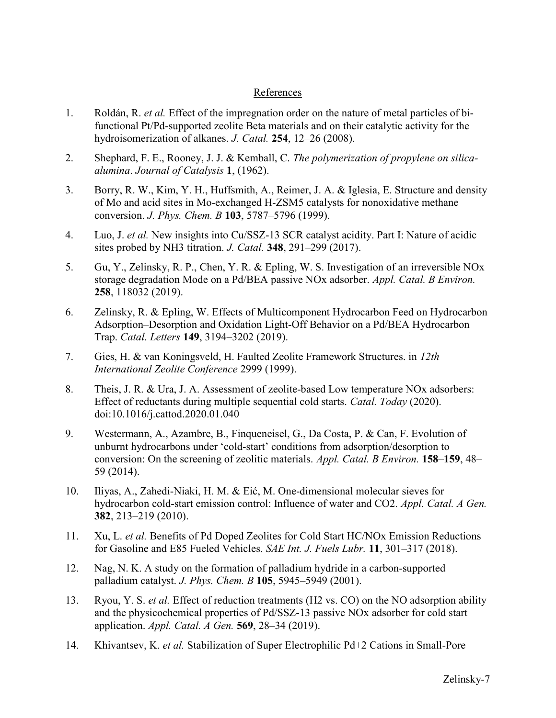#### References

- 1. Roldán, R. *et al.* Effect of the impregnation order on the nature of metal particles of bifunctional Pt/Pd-supported zeolite Beta materials and on their catalytic activity for the hydroisomerization of alkanes. J. Catal. 254, 12–26 (2008).
- 2. Shephard, F. E., Rooney, J. J. & Kemball, C. The polymerization of propylene on silicaalumina. Journal of Catalysis 1, (1962).
- 3. Borry, R. W., Kim, Y. H., Huffsmith, A., Reimer, J. A. & Iglesia, E. Structure and density of Mo and acid sites in Mo-exchanged H-ZSM5 catalysts for nonoxidative methane conversion. J. Phys. Chem. B 103, 5787-5796 (1999).
- 4. Luo, J. et al. New insights into Cu/SSZ-13 SCR catalyst acidity. Part I: Nature of acidic sites probed by NH3 titration. *J. Catal.* **348**, 291–299 (2017).
- 5. Gu, Y., Zelinsky, R. P., Chen, Y. R. & Epling, W. S. Investigation of an irreversible NOx storage degradation Mode on a Pd/BEA passive NOx adsorber. Appl. Catal. B Environ. 258, 118032 (2019).
- 6. Zelinsky, R. & Epling, W. Effects of Multicomponent Hydrocarbon Feed on Hydrocarbon Adsorption–Desorption and Oxidation Light-Off Behavior on a Pd/BEA Hydrocarbon Trap. Catal. Letters 149, 3194–3202 (2019).
- 7. Gies, H. & van Koningsveld, H. Faulted Zeolite Framework Structures. in 12th International Zeolite Conference 2999 (1999).
- 8. Theis, J. R. & Ura, J. A. Assessment of zeolite-based Low temperature NOx adsorbers: Effect of reductants during multiple sequential cold starts. Catal. Today (2020). doi:10.1016/j.cattod.2020.01.040
- 9. Westermann, A., Azambre, B., Finqueneisel, G., Da Costa, P. & Can, F. Evolution of unburnt hydrocarbons under 'cold-start' conditions from adsorption/desorption to conversion: On the screening of zeolitic materials. Appl. Catal. B Environ. 158–159, 48– 59 (2014).
- 10. Iliyas, A., Zahedi-Niaki, H. M. & Eić, M. One-dimensional molecular sieves for hydrocarbon cold-start emission control: Influence of water and CO2. Appl. Catal. A Gen. 382, 213–219 (2010).
- 11. Xu, L. et al. Benefits of Pd Doped Zeolites for Cold Start HC/NOx Emission Reductions for Gasoline and E85 Fueled Vehicles. SAE Int. J. Fuels Lubr. 11, 301-317 (2018).
- 12. Nag, N. K. A study on the formation of palladium hydride in a carbon-supported palladium catalyst. J. Phys. Chem. B 105, 5945–5949 (2001).
- 13. Ryou, Y. S. et al. Effect of reduction treatments (H2 vs. CO) on the NO adsorption ability and the physicochemical properties of Pd/SSZ-13 passive NOx adsorber for cold start application. Appl. Catal. A Gen. 569, 28–34 (2019).
- 14. Khivantsev, K. et al. Stabilization of Super Electrophilic Pd+2 Cations in Small-Pore